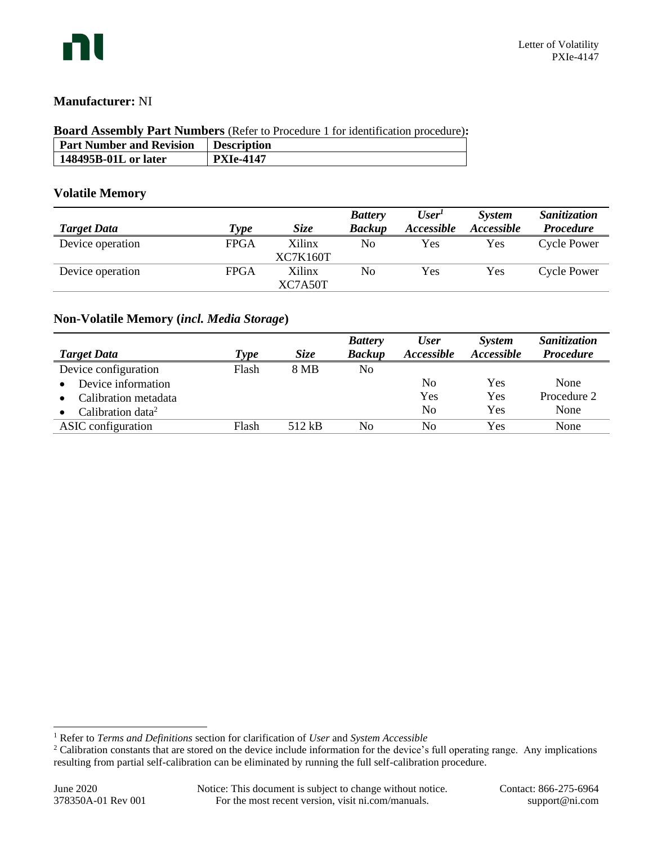

## **Manufacturer:** NI

# **Board Assembly Part Numbers** (Refer to Procedure 1 for identification procedure)**:**

| <b>Part Number and Revision</b> | Description      |
|---------------------------------|------------------|
| 148495B-01L or later            | <b>PXIe-4147</b> |
|                                 |                  |

### **Volatile Memory**

|                    |             |                    | <b>Battery</b> | User <sup>T</sup> | <i>System</i> | Sanitization       |
|--------------------|-------------|--------------------|----------------|-------------------|---------------|--------------------|
| <b>Target Data</b> | Type        | <i>Size</i>        | <b>Backup</b>  | Accessible        | Accessible    | <b>Procedure</b>   |
| Device operation   | <b>FPGA</b> | Xilinx<br>XC7K160T | No             | Yes               | Yes           | <b>Cycle Power</b> |
| Device operation   | <b>FPGA</b> | Xilinx<br>XC7A50T  | No             | Yes               | Yes           | <b>Cycle Power</b> |

# **Non-Volatile Memory (***incl. Media Storage***)**

|                               |       |             | <b>Battery</b> | <b>User</b>    | <i>System</i>     | Sanitization     |
|-------------------------------|-------|-------------|----------------|----------------|-------------------|------------------|
| <b>Target Data</b>            | 'ype  | <i>Size</i> | <b>Backup</b>  | Accessible     | <i>Accessible</i> | <b>Procedure</b> |
| Device configuration          | Flash | 8 MB        | No             |                |                   |                  |
| Device information            |       |             |                | No             | Yes               | None             |
| Calibration metadata          |       |             |                | Yes            | Yes               | Procedure 2      |
| Calibration data <sup>2</sup> |       |             |                | N <sub>0</sub> | Yes               | None             |
| ASIC configuration            | Flash | 512 kB      | No             | No             | Yes               | None             |

<sup>1</sup> Refer to *Terms and Definitions* section for clarification of *User* and *System Accessible*

<sup>&</sup>lt;sup>2</sup> Calibration constants that are stored on the device include information for the device's full operating range. Any implications resulting from partial self-calibration can be eliminated by running the full self-calibration procedure.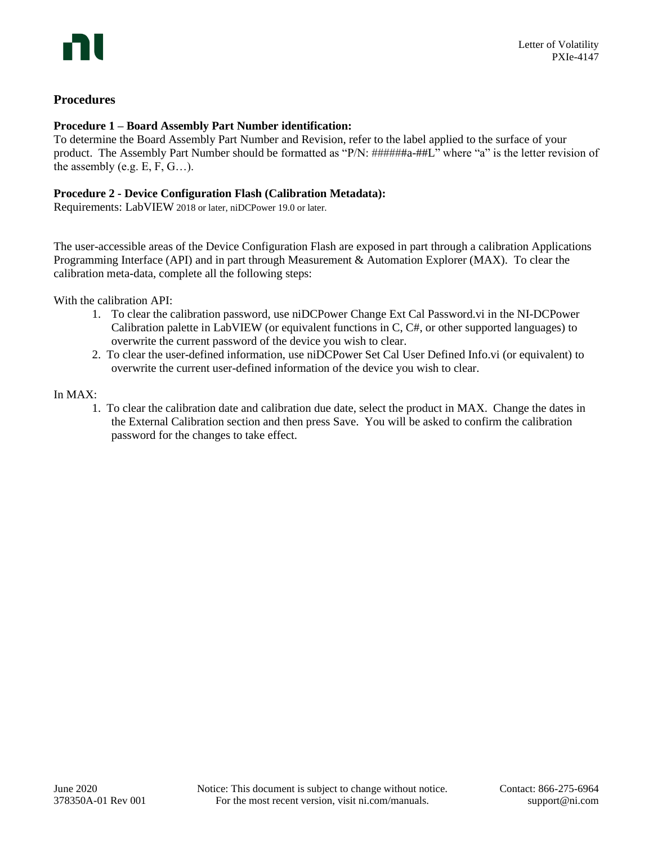# **Procedures**

### **Procedure 1 – Board Assembly Part Number identification:**

To determine the Board Assembly Part Number and Revision, refer to the label applied to the surface of your product. The Assembly Part Number should be formatted as "P/N: ######a-##L" where "a" is the letter revision of the assembly (e.g.  $E, F, G...$ ).

### **Procedure 2 - Device Configuration Flash (Calibration Metadata):**

Requirements: LabVIEW 2018 or later, niDCPower 19.0 or later.

The user-accessible areas of the Device Configuration Flash are exposed in part through a calibration Applications Programming Interface (API) and in part through Measurement & Automation Explorer (MAX). To clear the calibration meta-data, complete all the following steps:

With the calibration API:

- 1. To clear the calibration password, use niDCPower Change Ext Cal Password.vi in the NI-DCPower Calibration palette in LabVIEW (or equivalent functions in C, C#, or other supported languages) to overwrite the current password of the device you wish to clear.
- 2. To clear the user-defined information, use niDCPower Set Cal User Defined Info.vi (or equivalent) to overwrite the current user-defined information of the device you wish to clear.

### In MAX:

1. To clear the calibration date and calibration due date, select the product in MAX. Change the dates in the External Calibration section and then press Save. You will be asked to confirm the calibration password for the changes to take effect.